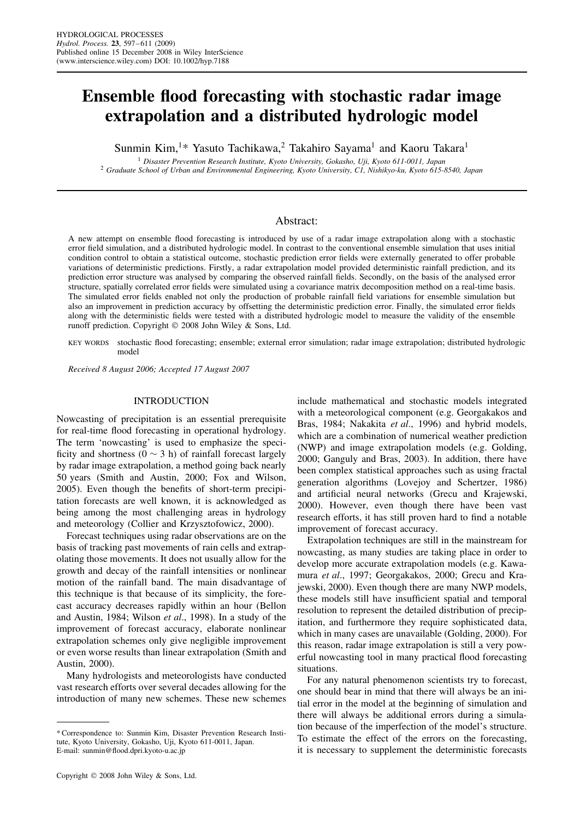# **Ensemble flood forecasting with stochastic radar image extrapolation and a distributed hydrologic model**

Sunmin Kim,<sup>1\*</sup> Yasuto Tachikawa,<sup>2</sup> Takahiro Sayama<sup>1</sup> and Kaoru Takara<sup>1</sup>

<sup>1</sup> Disaster Prevention Research Institute, Kyoto University, Gokasho, Uji, Kyoto 611-0011, Japan<br><sup>2</sup> Graduate School of Urban and Environmental Engineering, Kyoto University, C1, Nishikyo-ku, Kyoto 615-8540, Japan

# Abstract:

A new attempt on ensemble flood forecasting is introduced by use of a radar image extrapolation along with a stochastic error field simulation, and a distributed hydrologic model. In contrast to the conventional ensemble simulation that uses initial condition control to obtain a statistical outcome, stochastic prediction error fields were externally generated to offer probable variations of deterministic predictions. Firstly, a radar extrapolation model provided deterministic rainfall prediction, and its prediction error structure was analysed by comparing the observed rainfall fields. Secondly, on the basis of the analysed error structure, spatially correlated error fields were simulated using a covariance matrix decomposition method on a real-time basis. The simulated error fields enabled not only the production of probable rainfall field variations for ensemble simulation but also an improvement in prediction accuracy by offsetting the deterministic prediction error. Finally, the simulated error fields along with the deterministic fields were tested with a distributed hydrologic model to measure the validity of the ensemble runoff prediction. Copyright 2008 John Wiley & Sons, Ltd.

KEY WORDS stochastic flood forecasting; ensemble; external error simulation; radar image extrapolation; distributed hydrologic model

*Received 8 August 2006; Accepted 17 August 2007*

## INTRODUCTION

Nowcasting of precipitation is an essential prerequisite for real-time flood forecasting in operational hydrology. The term 'nowcasting' is used to emphasize the specificity and shortness  $(0 \sim 3 \text{ h})$  of rainfall forecast largely by radar image extrapolation, a method going back nearly 50 years (Smith and Austin, 2000; Fox and Wilson, 2005). Even though the benefits of short-term precipitation forecasts are well known, it is acknowledged as being among the most challenging areas in hydrology and meteorology (Collier and Krzysztofowicz, 2000).

Forecast techniques using radar observations are on the basis of tracking past movements of rain cells and extrapolating those movements. It does not usually allow for the growth and decay of the rainfall intensities or nonlinear motion of the rainfall band. The main disadvantage of this technique is that because of its simplicity, the forecast accuracy decreases rapidly within an hour (Bellon and Austin, 1984; Wilson *et al*., 1998). In a study of the improvement of forecast accuracy, elaborate nonlinear extrapolation schemes only give negligible improvement or even worse results than linear extrapolation (Smith and Austin, 2000).

Many hydrologists and meteorologists have conducted vast research efforts over several decades allowing for the introduction of many new schemes. These new schemes include mathematical and stochastic models integrated with a meteorological component (e.g. Georgakakos and Bras, 1984; Nakakita *et al*., 1996) and hybrid models, which are a combination of numerical weather prediction (NWP) and image extrapolation models (e.g. Golding, 2000; Ganguly and Bras, 2003). In addition, there have been complex statistical approaches such as using fractal generation algorithms (Lovejoy and Schertzer, 1986) and artificial neural networks (Grecu and Krajewski, 2000). However, even though there have been vast research efforts, it has still proven hard to find a notable improvement of forecast accuracy.

Extrapolation techniques are still in the mainstream for nowcasting, as many studies are taking place in order to develop more accurate extrapolation models (e.g. Kawamura *et al*., 1997; Georgakakos, 2000; Grecu and Krajewski, 2000). Even though there are many NWP models, these models still have insufficient spatial and temporal resolution to represent the detailed distribution of precipitation, and furthermore they require sophisticated data, which in many cases are unavailable (Golding, 2000). For this reason, radar image extrapolation is still a very powerful nowcasting tool in many practical flood forecasting situations.

For any natural phenomenon scientists try to forecast, one should bear in mind that there will always be an initial error in the model at the beginning of simulation and there will always be additional errors during a simulation because of the imperfection of the model's structure. To estimate the effect of the errors on the forecasting, it is necessary to supplement the deterministic forecasts

<sup>\*</sup> Correspondence to: Sunmin Kim, Disaster Prevention Research Institute, Kyoto University, Gokasho, Uji, Kyoto 611-0011, Japan. E-mail: sunmin@flood.dpri.kyoto-u.ac.jp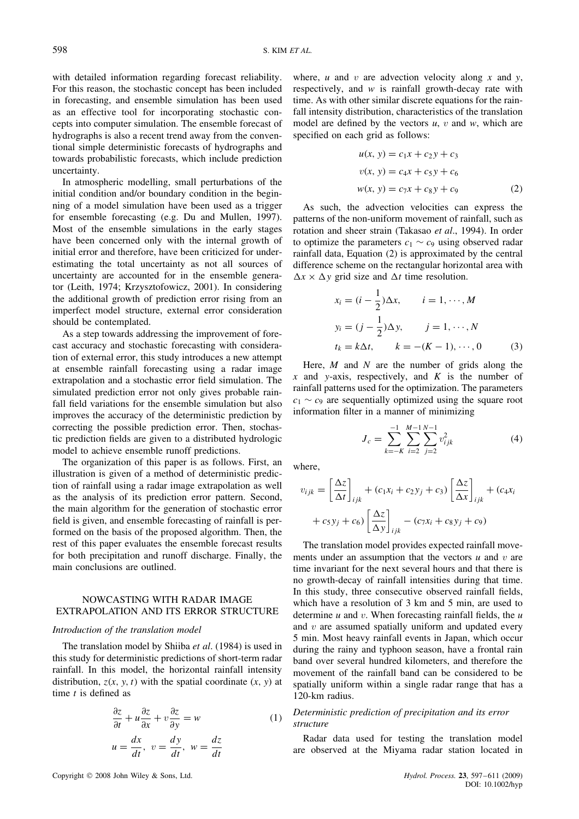with detailed information regarding forecast reliability. For this reason, the stochastic concept has been included in forecasting, and ensemble simulation has been used as an effective tool for incorporating stochastic concepts into computer simulation. The ensemble forecast of hydrographs is also a recent trend away from the conventional simple deterministic forecasts of hydrographs and towards probabilistic forecasts, which include prediction uncertainty.

In atmospheric modelling, small perturbations of the initial condition and/or boundary condition in the beginning of a model simulation have been used as a trigger for ensemble forecasting (e.g. Du and Mullen, 1997). Most of the ensemble simulations in the early stages have been concerned only with the internal growth of initial error and therefore, have been criticized for underestimating the total uncertainty as not all sources of uncertainty are accounted for in the ensemble generator (Leith, 1974; Krzysztofowicz, 2001). In considering the additional growth of prediction error rising from an imperfect model structure, external error consideration should be contemplated.

As a step towards addressing the improvement of forecast accuracy and stochastic forecasting with consideration of external error, this study introduces a new attempt at ensemble rainfall forecasting using a radar image extrapolation and a stochastic error field simulation. The simulated prediction error not only gives probable rainfall field variations for the ensemble simulation but also improves the accuracy of the deterministic prediction by correcting the possible prediction error. Then, stochastic prediction fields are given to a distributed hydrologic model to achieve ensemble runoff predictions.

The organization of this paper is as follows. First, an illustration is given of a method of deterministic prediction of rainfall using a radar image extrapolation as well as the analysis of its prediction error pattern. Second, the main algorithm for the generation of stochastic error field is given, and ensemble forecasting of rainfall is performed on the basis of the proposed algorithm. Then, the rest of this paper evaluates the ensemble forecast results for both precipitation and runoff discharge. Finally, the main conclusions are outlined.

## NOWCASTING WITH RADAR IMAGE EXTRAPOLATION AND ITS ERROR STRUCTURE

## *Introduction of the translation model*

The translation model by Shiiba *et al*. (1984) is used in this study for deterministic predictions of short-term radar rainfall. In this model, the horizontal rainfall intensity distribution,  $z(x, y, t)$  with the spatial coordinate  $(x, y)$  at time  $t$  is defined as

$$
\frac{\partial z}{\partial t} + u \frac{\partial z}{\partial x} + v \frac{\partial z}{\partial y} = w
$$
\n
$$
u = \frac{dx}{dt}, \ v = \frac{dy}{dt}, \ w = \frac{dz}{dt}
$$
\n(1)

where,  $u$  and  $v$  are advection velocity along  $x$  and  $y$ , respectively, and  $w$  is rainfall growth-decay rate with time. As with other similar discrete equations for the rainfall intensity distribution, characteristics of the translation model are defined by the vectors  $u$ ,  $v$  and  $w$ , which are specified on each grid as follows:

$$
u(x, y) = c_1 x + c_2 y + c_3
$$
  
\n
$$
v(x, y) = c_4 x + c_5 y + c_6
$$
  
\n
$$
w(x, y) = c_7 x + c_8 y + c_9
$$
\n(2)

As such, the advection velocities can express the patterns of the non-uniform movement of rainfall, such as rotation and sheer strain (Takasao *et al*., 1994). In order to optimize the parameters  $c_1 \sim c_9$  using observed radar rainfall data, Equation (2) is approximated by the central difference scheme on the rectangular horizontal area with  $\Delta x \times \Delta y$  grid size and  $\Delta t$  time resolution.

$$
x_i = (i - \frac{1}{2})\Delta x, \qquad i = 1, \cdots, M
$$
  

$$
y_i = (j - \frac{1}{2})\Delta y, \qquad j = 1, \cdots, N
$$
  

$$
t_k = k\Delta t, \qquad k = -(K - 1), \cdots, 0
$$
 (3)

Here,  $M$  and  $N$  are the number of grids along the  $x$  and  $y$ -axis, respectively, and  $K$  is the number of rainfall patterns used for the optimization. The parameters  $c_1 \sim c_9$  are sequentially optimized using the square root information filter in a manner of minimizing

$$
J_c = \sum_{k=-K}^{-1} \sum_{i=2}^{M-1} \sum_{j=2}^{N-1} v_{ijk}^2
$$
 (4)

where,

$$
v_{ijk} = \left[\frac{\Delta z}{\Delta t}\right]_{ijk} + (c_1x_i + c_2y_j + c_3)\left[\frac{\Delta z}{\Delta x}\right]_{ijk} + (c_4x_i + c_5y_j + c_6)\left[\frac{\Delta z}{\Delta y}\right]_{ijk} - (c_7x_i + c_8y_j + c_9)
$$

The translation model provides expected rainfall movements under an assumption that the vectors  $u$  and  $v$  are time invariant for the next several hours and that there is no growth-decay of rainfall intensities during that time. In this study, three consecutive observed rainfall fields, which have a resolution of 3 km and 5 min, are used to determine  $u$  and  $v$ . When forecasting rainfall fields, the  $u$ and  $v$  are assumed spatially uniform and updated every 5 min. Most heavy rainfall events in Japan, which occur during the rainy and typhoon season, have a frontal rain band over several hundred kilometers, and therefore the movement of the rainfall band can be considered to be spatially uniform within a single radar range that has a 120-km radius.

## *Deterministic prediction of precipitation and its error structure*

Radar data used for testing the translation model are observed at the Miyama radar station located in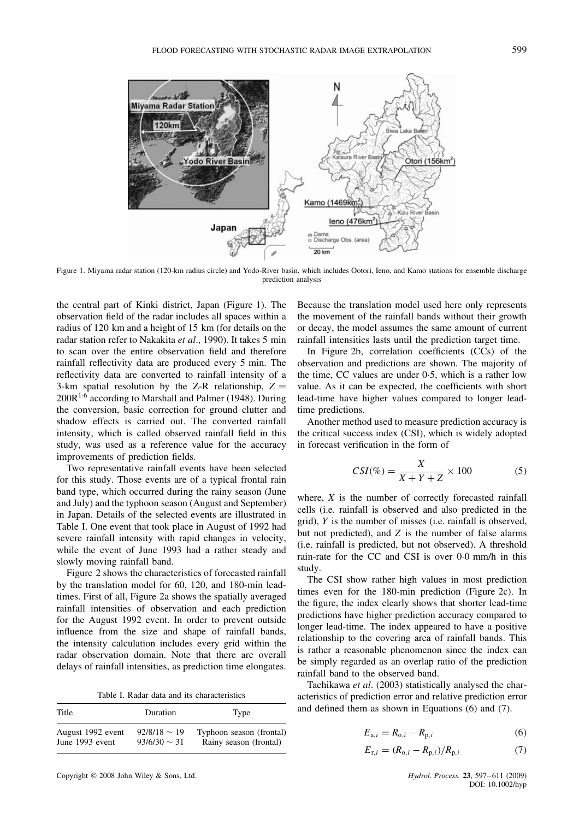

Figure 1. Miyama radar station (120-km radius circle) and Yodo-River basin, which includes Ootori, Ieno, and Kamo stations for ensemble discharge prediction analysis

the central part of Kinki district, Japan (Figure 1). The observation field of the radar includes all spaces within a radius of 120 km and a height of 15 km (for details on the radar station refer to Nakakita *et al*., 1990). It takes 5 min to scan over the entire observation field and therefore rainfall reflectivity data are produced every 5 min. The reflectivity data are converted to rainfall intensity of a 3-km spatial resolution by the Z-R relationship,  $Z =$  $200R^{1.6}$  according to Marshall and Palmer (1948). During the conversion, basic correction for ground clutter and shadow effects is carried out. The converted rainfall intensity, which is called observed rainfall field in this study, was used as a reference value for the accuracy improvements of prediction fields.

Two representative rainfall events have been selected for this study. Those events are of a typical frontal rain band type, which occurred during the rainy season (June and July) and the typhoon season (August and September) in Japan. Details of the selected events are illustrated in Table I. One event that took place in August of 1992 had severe rainfall intensity with rapid changes in velocity, while the event of June 1993 had a rather steady and slowly moving rainfall band.

Figure 2 shows the characteristics of forecasted rainfall by the translation model for 60, 120, and 180-min leadtimes. First of all, Figure 2a shows the spatially averaged rainfall intensities of observation and each prediction for the August 1992 event. In order to prevent outside influence from the size and shape of rainfall bands, the intensity calculation includes every grid within the radar observation domain. Note that there are overall delays of rainfall intensities, as prediction time elongates.

Table I. Radar data and its characteristics

| Title             | Duration          | Type                     |
|-------------------|-------------------|--------------------------|
| August 1992 event | $92/8/18 \sim 19$ | Typhoon season (frontal) |
| June 1993 event   | $93/6/30 \sim 31$ | Rainy season (frontal)   |

Copyright 2008 John Wiley & Sons, Ltd. *Hydrol. Process.* **23**, 597–611 (2009)

Because the translation model used here only represents the movement of the rainfall bands without their growth or decay, the model assumes the same amount of current rainfall intensities lasts until the prediction target time.

In Figure 2b, correlation coefficients (CCs) of the observation and predictions are shown. The majority of the time, CC values are under  $0.5$ , which is a rather low value. As it can be expected, the coefficients with short lead-time have higher values compared to longer leadtime predictions.

Another method used to measure prediction accuracy is the critical success index (CSI), which is widely adopted in forecast verification in the form of

$$
CSI(\% ) = \frac{X}{X+Y+Z} \times 100 \tag{5}
$$

where,  $X$  is the number of correctly forecasted rainfall cells (i.e. rainfall is observed and also predicted in the grid), Y is the number of misses (i.e. rainfall is observed, but not predicted), and  $Z$  is the number of false alarms (i.e. rainfall is predicted, but not observed). A threshold rain-rate for the CC and CSI is over 0.0 mm/h in this study.

The CSI show rather high values in most prediction times even for the 180-min prediction (Figure 2c). In the figure, the index clearly shows that shorter lead-time predictions have higher prediction accuracy compared to longer lead-time. The index appeared to have a positive relationship to the covering area of rainfall bands. This is rather a reasonable phenomenon since the index can be simply regarded as an overlap ratio of the prediction rainfall band to the observed band.

Tachikawa *et al*. (2003) statistically analysed the characteristics of prediction error and relative prediction error and defined them as shown in Equations (6) and (7).

$$
E_{a,i} = R_{o,i} - R_{p,i} \tag{6}
$$

$$
E_{\rm r,i} = (R_{\rm o,i} - R_{\rm p,i})/R_{\rm p,i} \tag{7}
$$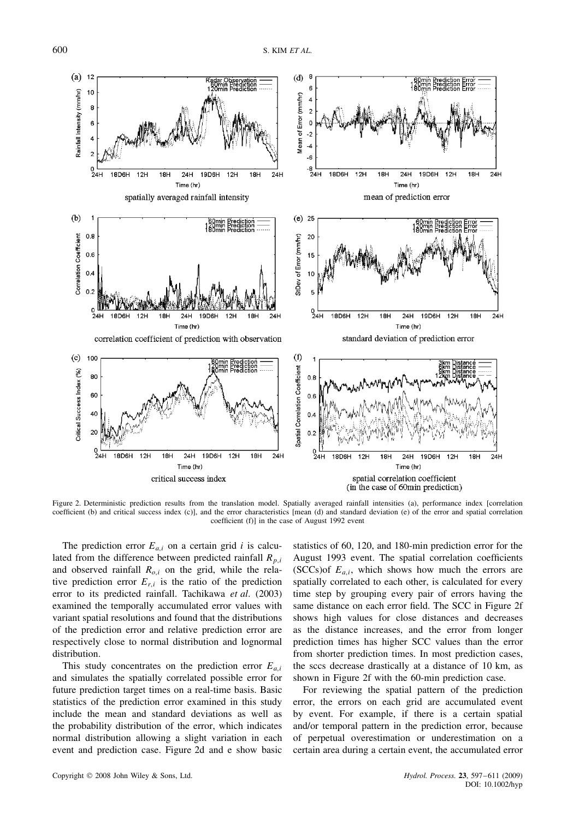

Figure 2. Deterministic prediction results from the translation model. Spatially averaged rainfall intensities (a), performance index [correlation coefficient (b) and critical success index (c)], and the error characteristics [mean (d) and standard deviation (e) of the error and spatial correlation coefficient (f)] in the case of August 1992 event

The prediction error  $E_{a,i}$  on a certain grid *i* is calculated from the difference between predicted rainfall  $R_{p,i}$ and observed rainfall  $R_{o,i}$  on the grid, while the relative prediction error  $E_{r,i}$  is the ratio of the prediction error to its predicted rainfall. Tachikawa *et al*. (2003) examined the temporally accumulated error values with variant spatial resolutions and found that the distributions of the prediction error and relative prediction error are respectively close to normal distribution and lognormal distribution.

This study concentrates on the prediction error  $E_{ai}$ and simulates the spatially correlated possible error for future prediction target times on a real-time basis. Basic statistics of the prediction error examined in this study include the mean and standard deviations as well as the probability distribution of the error, which indicates normal distribution allowing a slight variation in each event and prediction case. Figure 2d and e show basic

statistics of 60, 120, and 180-min prediction error for the August 1993 event. The spatial correlation coefficients (SCCs) of  $E_{a,i}$ , which shows how much the errors are spatially correlated to each other, is calculated for every time step by grouping every pair of errors having the same distance on each error field. The SCC in Figure 2f shows high values for close distances and decreases as the distance increases, and the error from longer prediction times has higher SCC values than the error from shorter prediction times. In most prediction cases, the sccs decrease drastically at a distance of 10 km, as shown in Figure 2f with the 60-min prediction case.

For reviewing the spatial pattern of the prediction error, the errors on each grid are accumulated event by event. For example, if there is a certain spatial and/or temporal pattern in the prediction error, because of perpetual overestimation or underestimation on a certain area during a certain event, the accumulated error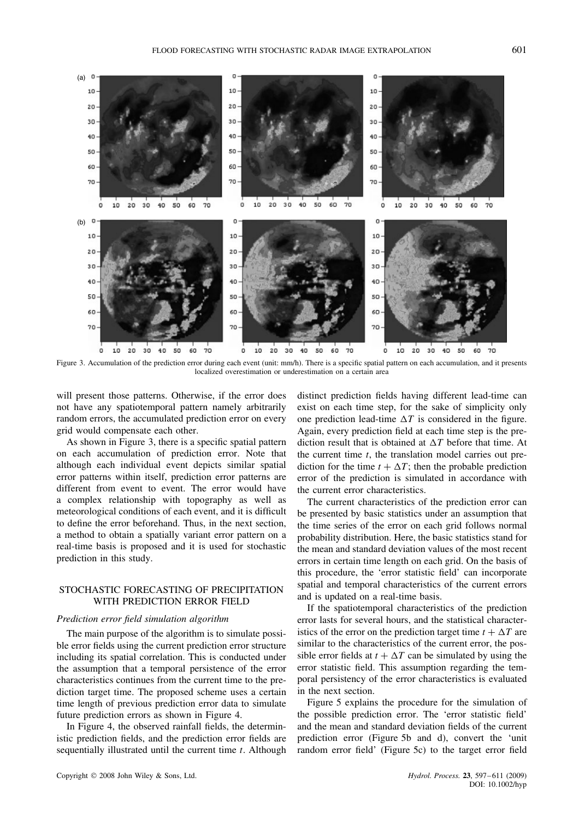

Figure 3. Accumulation of the prediction error during each event (unit: mm/h). There is a specific spatial pattern on each accumulation, and it presents localized overestimation or underestimation on a certain area

will present those patterns. Otherwise, if the error does not have any spatiotemporal pattern namely arbitrarily random errors, the accumulated prediction error on every grid would compensate each other.

As shown in Figure 3, there is a specific spatial pattern on each accumulation of prediction error. Note that although each individual event depicts similar spatial error patterns within itself, prediction error patterns are different from event to event. The error would have a complex relationship with topography as well as meteorological conditions of each event, and it is difficult to define the error beforehand. Thus, in the next section, a method to obtain a spatially variant error pattern on a real-time basis is proposed and it is used for stochastic prediction in this study.

# STOCHASTIC FORECASTING OF PRECIPITATION WITH PREDICTION ERROR FIELD

#### *Prediction error field simulation algorithm*

The main purpose of the algorithm is to simulate possible error fields using the current prediction error structure including its spatial correlation. This is conducted under the assumption that a temporal persistence of the error characteristics continues from the current time to the prediction target time. The proposed scheme uses a certain time length of previous prediction error data to simulate future prediction errors as shown in Figure 4.

In Figure 4, the observed rainfall fields, the deterministic prediction fields, and the prediction error fields are sequentially illustrated until the current time  $t$ . Although distinct prediction fields having different lead-time can exist on each time step, for the sake of simplicity only one prediction lead-time  $\Delta T$  is considered in the figure. Again, every prediction field at each time step is the prediction result that is obtained at  $\Delta T$  before that time. At the current time  $t$ , the translation model carries out prediction for the time  $t + \Delta T$ ; then the probable prediction error of the prediction is simulated in accordance with the current error characteristics.

The current characteristics of the prediction error can be presented by basic statistics under an assumption that the time series of the error on each grid follows normal probability distribution. Here, the basic statistics stand for the mean and standard deviation values of the most recent errors in certain time length on each grid. On the basis of this procedure, the 'error statistic field' can incorporate spatial and temporal characteristics of the current errors and is updated on a real-time basis.

If the spatiotemporal characteristics of the prediction error lasts for several hours, and the statistical characteristics of the error on the prediction target time  $t + \Delta T$  are similar to the characteristics of the current error, the possible error fields at  $t + \Delta T$  can be simulated by using the error statistic field. This assumption regarding the temporal persistency of the error characteristics is evaluated in the next section.

Figure 5 explains the procedure for the simulation of the possible prediction error. The 'error statistic field' and the mean and standard deviation fields of the current prediction error (Figure 5b and d), convert the 'unit random error field' (Figure 5c) to the target error field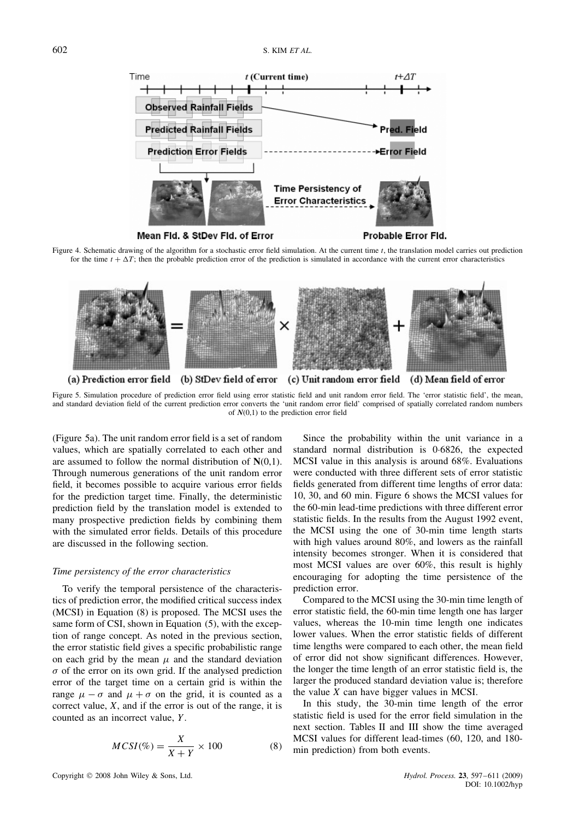

Mean Fld. & StDev Fld. of Error

**Probable Error Fld.** 

Figure 4. Schematic drawing of the algorithm for a stochastic error field simulation. At the current time t, the translation model carries out prediction for the time  $t + \Delta T$ ; then the probable prediction error of the prediction is simulated in accordance with the current error characteristics



Figure 5. Simulation procedure of prediction error field using error statistic field and unit random error field. The 'error statistic field', the mean, and standard deviation field of the current prediction error converts the 'unit random error field' comprised of spatially correlated random numbers of  $N(0,1)$  to the prediction error field

(Figure 5a). The unit random error field is a set of random values, which are spatially correlated to each other and are assumed to follow the normal distribution of **N**(0,1). Through numerous generations of the unit random error field, it becomes possible to acquire various error fields for the prediction target time. Finally, the deterministic prediction field by the translation model is extended to many prospective prediction fields by combining them with the simulated error fields. Details of this procedure are discussed in the following section.

## *Time persistency of the error characteristics*

To verify the temporal persistence of the characteristics of prediction error, the modified critical success index (MCSI) in Equation (8) is proposed. The MCSI uses the same form of CSI, shown in Equation (5), with the exception of range concept. As noted in the previous section, the error statistic field gives a specific probabilistic range on each grid by the mean  $\mu$  and the standard deviation  $\sigma$  of the error on its own grid. If the analysed prediction error of the target time on a certain grid is within the range  $\mu - \sigma$  and  $\mu + \sigma$  on the grid, it is counted as a correct value,  $X$ , and if the error is out of the range, it is counted as an incorrect value, Y.

$$
MCSI(\%) = \frac{X}{X+Y} \times 100\tag{8}
$$

Since the probability within the unit variance in a standard normal distribution is 0.6826, the expected MCSI value in this analysis is around 68%. Evaluations were conducted with three different sets of error statistic fields generated from different time lengths of error data: 10, 30, and 60 min. Figure 6 shows the MCSI values for the 60-min lead-time predictions with three different error statistic fields. In the results from the August 1992 event, the MCSI using the one of 30-min time length starts with high values around 80%, and lowers as the rainfall intensity becomes stronger. When it is considered that most MCSI values are over 60%, this result is highly encouraging for adopting the time persistence of the prediction error.

Compared to the MCSI using the 30-min time length of error statistic field, the 60-min time length one has larger values, whereas the 10-min time length one indicates lower values. When the error statistic fields of different time lengths were compared to each other, the mean field of error did not show significant differences. However, the longer the time length of an error statistic field is, the larger the produced standard deviation value is; therefore the value  $X$  can have bigger values in MCSI.

In this study, the 30-min time length of the error statistic field is used for the error field simulation in the next section. Tables II and III show the time averaged MCSI values for different lead-times (60, 120, and 180 min prediction) from both events.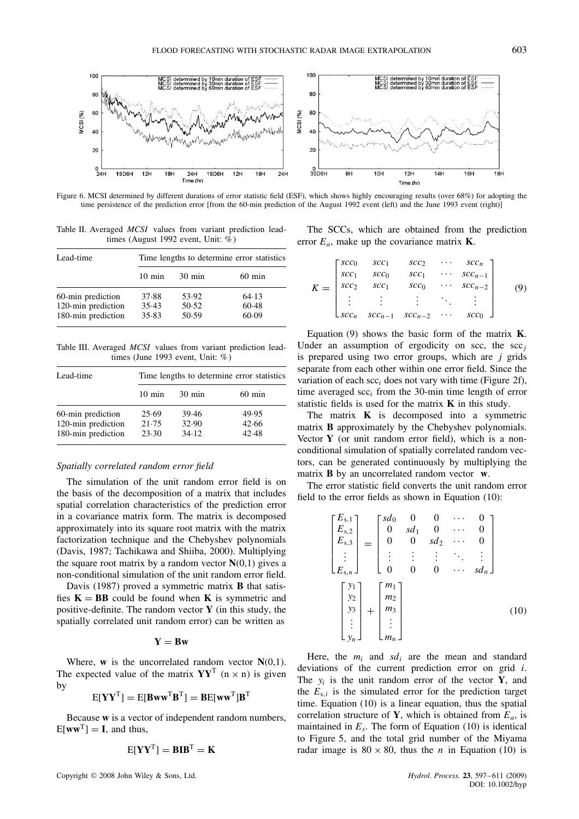

Figure 6. MCSI determined by different durations of error statistic field (ESF), which shows highly encouraging results (over 68%) for adopting the time persistence of the prediction error [from the 60-min prediction of the August 1992 event (left) and the June 1993 event (right)]

Table II. Averaged *MCSI* values from variant prediction leadtimes (August 1992 event, Unit: *%*)

| Lead-time                                | Time lengths to determine error statistics |                  |                  |  |  |
|------------------------------------------|--------------------------------------------|------------------|------------------|--|--|
|                                          | $10 \text{ min}$                           | $30 \text{ min}$ | $60 \text{ min}$ |  |  |
| 60-min prediction                        | 37.88                                      | 53.92            | 64.13            |  |  |
| 120-min prediction<br>180-min prediction | 35.43<br>35.83                             | 50.52<br>50.59   | 60.48<br>60.09   |  |  |

Table III. Averaged *MCSI* values from variant prediction leadtimes (June 1993 event, Unit: *%*)

| Lead-time          | Time lengths to determine error statistics |                  |                  |  |  |
|--------------------|--------------------------------------------|------------------|------------------|--|--|
|                    | $10 \text{ min}$                           | $30 \text{ min}$ | $60 \text{ min}$ |  |  |
| 60-min prediction  | 25.69                                      | 39.46            | 49.95            |  |  |
| 120-min prediction | 21.75                                      | 32.90            | 42.66            |  |  |
| 180-min prediction | 23.30                                      | 34.12            | 42.48            |  |  |

## *Spatially correlated random error field*

The simulation of the unit random error field is on the basis of the decomposition of a matrix that includes spatial correlation characteristics of the prediction error in a covariance matrix form. The matrix is decomposed approximately into its square root matrix with the matrix factorization technique and the Chebyshev polynomials (Davis, 1987; Tachikawa and Shiiba, 2000). Multiplying the square root matrix by a random vector  $N(0,1)$  gives a non-conditional simulation of the unit random error field.

Davis (1987) proved a symmetric matrix **B** that satisfies  $K = BB$  could be found when K is symmetric and positive-definite. The random vector **Y** (in this study, the spatially correlated unit random error) can be written as

$$
Y = B w
$$

Where, **w** is the uncorrelated random vector  $N(0,1)$ . The expected value of the matrix  $YY<sup>T</sup>$  ( $n \times n$ ) is given by

$$
E[YYT] = E[BwwTBT] = BE[wwT]BT
$$

Because **w** is a vector of independent random numbers,  $E[ww^T] = I$ , and thus,

$$
E[YYT] = BIBT = K
$$

Copyright 2008 John Wiley & Sons, Ltd. *Hydrol. Process.* **23**, 597–611 (2009)

The SCCs, which are obtained from the prediction error  $E_a$ , make up the covariance matrix **K**.

$$
K = \begin{bmatrix} scc_0 & scc_1 & scc_2 & \cdots & scc_n \\ scc_1 & scc_0 & scc_1 & \cdots & scc_{n-1} \\ scc_2 & scc_1 & scc_0 & \cdots & scc_{n-2} \\ \vdots & \vdots & \vdots & \ddots & \vdots \\ scc_n & scc_{n-1} & scc_{n-2} & \cdots & scc_0 \end{bmatrix}
$$
 (9)

Equation (9) shows the basic form of the matrix **K**. Under an assumption of ergodicity on scc, the  $\sec j$ is prepared using two error groups, which are  $i$  grids separate from each other within one error field. Since the variation of each  $\sec_i$  does not vary with time (Figure 2f), time averaged  $\sec_i$  from the 30-min time length of error statistic fields is used for the matrix **K** in this study.

The matrix **K** is decomposed into a symmetric matrix **B** approximately by the Chebyshev polynomials. Vector **Y** (or unit random error field), which is a nonconditional simulation of spatially correlated random vectors, can be generated continuously by multiplying the matrix **B** by an uncorrelated random vector **w**.

The error statistic field converts the unit random error field to the error fields as shown in Equation (10):

$$
\begin{bmatrix} E_{s,1} \\ E_{s,2} \\ E_{s,3} \\ \vdots \\ E_{s,n} \end{bmatrix} = \begin{bmatrix} sd_0 & 0 & 0 & \cdots & 0 \\ 0 & sd_1 & 0 & \cdots & 0 \\ 0 & 0 & sd_2 & \cdots & 0 \\ \vdots & \vdots & \vdots & \ddots & \vdots \\ 0 & 0 & 0 & \cdots & sd_n \end{bmatrix}
$$

$$
\begin{bmatrix} y_1 \\ y_2 \\ y_3 \\ \vdots \\ y_n \end{bmatrix} + \begin{bmatrix} m_1 \\ m_2 \\ m_3 \\ \vdots \\ m_n \end{bmatrix}
$$
(10)

Here, the  $m_i$  and sd<sub>i</sub> are the mean and standard deviations of the current prediction error on grid i. The  $y_i$  is the unit random error of the vector **Y**, and the  $E_{s,i}$  is the simulated error for the prediction target time. Equation (10) is a linear equation, thus the spatial correlation structure of **Y**, which is obtained from  $E_a$ , is maintained in  $E_s$ . The form of Equation (10) is identical to Figure 5, and the total grid number of the Miyama radar image is  $80 \times 80$ , thus the *n* in Equation (10) is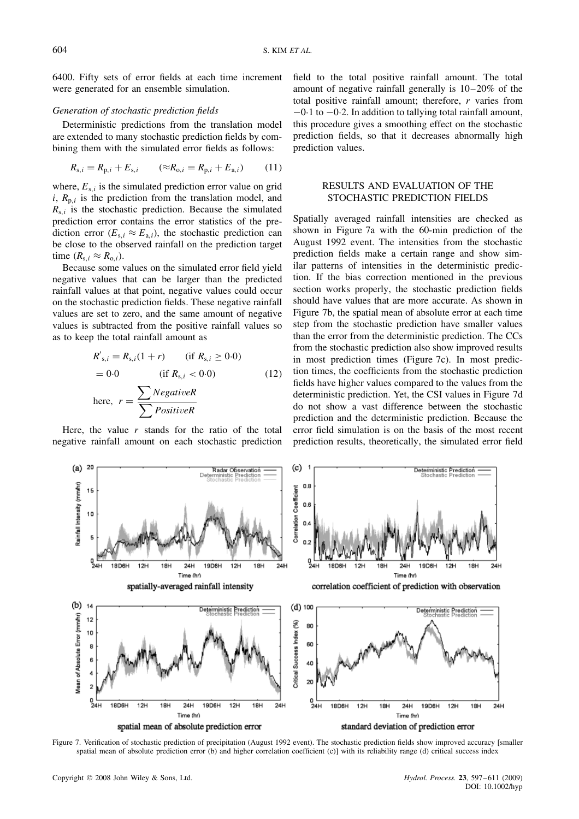6400. Fifty sets of error fields at each time increment were generated for an ensemble simulation.

## *Generation of stochastic prediction fields*

Deterministic predictions from the translation model are extended to many stochastic prediction fields by combining them with the simulated error fields as follows:

$$
R_{s,i} = R_{p,i} + E_{s,i} \qquad (\approx R_{o,i} = R_{p,i} + E_{a,i}) \qquad (11)
$$

where,  $E_{s,i}$  is the simulated prediction error value on grid  $i, R_{p,i}$  is the prediction from the translation model, and  $R_{s,i}$  is the stochastic prediction. Because the simulated prediction error contains the error statistics of the prediction error  $(E_{s,i} \approx E_{a,i})$ , the stochastic prediction can be close to the observed rainfall on the prediction target time  $(R_{s,i} \approx R_{o,i})$ .

Because some values on the simulated error field yield negative values that can be larger than the predicted rainfall values at that point, negative values could occur on the stochastic prediction fields. These negative rainfall values are set to zero, and the same amount of negative values is subtracted from the positive rainfall values so as to keep the total rainfall amount as

$$
R'_{s,i} = R_{s,i}(1+r) \quad \text{(if } R_{s,i} \ge 0.0)
$$
  
= 0.0 \quad \text{(if } R\_{s,i} < 0.0 \text{)} \quad \text{(12)}  
here,  $r = \frac{\sum NegativeR}{\sum PositiveR}$ 

Here, the value  $r$  stands for the ratio of the total negative rainfall amount on each stochastic prediction field to the total positive rainfall amount. The total amount of negative rainfall generally is 10–20% of the total positive rainfall amount; therefore, r varies from  $-0.1$  to  $-0.2$ . In addition to tallying total rainfall amount, this procedure gives a smoothing effect on the stochastic prediction fields, so that it decreases abnormally high prediction values.

# RESULTS AND EVALUATION OF THE STOCHASTIC PREDICTION FIELDS

Spatially averaged rainfall intensities are checked as shown in Figure 7a with the 60-min prediction of the August 1992 event. The intensities from the stochastic prediction fields make a certain range and show similar patterns of intensities in the deterministic prediction. If the bias correction mentioned in the previous section works properly, the stochastic prediction fields should have values that are more accurate. As shown in Figure 7b, the spatial mean of absolute error at each time step from the stochastic prediction have smaller values than the error from the deterministic prediction. The CCs from the stochastic prediction also show improved results in most prediction times (Figure 7c). In most prediction times, the coefficients from the stochastic prediction fields have higher values compared to the values from the deterministic prediction. Yet, the CSI values in Figure 7d do not show a vast difference between the stochastic prediction and the deterministic prediction. Because the error field simulation is on the basis of the most recent prediction results, theoretically, the simulated error field



Figure 7. Verification of stochastic prediction of precipitation (August 1992 event). The stochastic prediction fields show improved accuracy [smaller spatial mean of absolute prediction error (b) and higher correlation coefficient (c)] with its reliability range (d) critical success index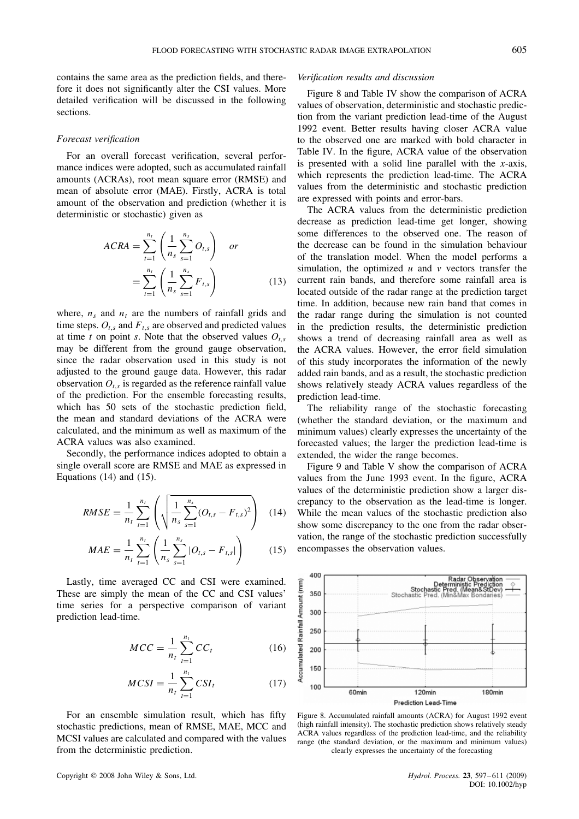contains the same area as the prediction fields, and therefore it does not significantly alter the CSI values. More detailed verification will be discussed in the following sections.

## *Forecast verification*

For an overall forecast verification, several performance indices were adopted, such as accumulated rainfall amounts (ACRAs), root mean square error (RMSE) and mean of absolute error (MAE). Firstly, ACRA is total amount of the observation and prediction (whether it is deterministic or stochastic) given as

$$
ACRA = \sum_{t=1}^{n_t} \left( \frac{1}{n_s} \sum_{s=1}^{n_s} O_{t,s} \right) \quad or
$$
  
= 
$$
\sum_{t=1}^{n_t} \left( \frac{1}{n_s} \sum_{s=1}^{n_s} F_{t,s} \right)
$$
 (13)

where,  $n_s$  and  $n_t$  are the numbers of rainfall grids and time steps.  $O_{t,s}$  and  $F_{t,s}$  are observed and predicted values at time t on point s. Note that the observed values  $O_{ts}$ may be different from the ground gauge observation, since the radar observation used in this study is not adjusted to the ground gauge data. However, this radar observation  $O_{t,s}$  is regarded as the reference rainfall value of the prediction. For the ensemble forecasting results, which has 50 sets of the stochastic prediction field, the mean and standard deviations of the ACRA were calculated, and the minimum as well as maximum of the ACRA values was also examined.

Secondly, the performance indices adopted to obtain a single overall score are RMSE and MAE as expressed in Equations  $(14)$  and  $(15)$ .

$$
RMSE = \frac{1}{n_t} \sum_{t=1}^{n_t} \left( \sqrt{\frac{1}{n_s} \sum_{s=1}^{n_s} (O_{t,s} - F_{t,s})^2} \right) \quad (14)
$$

$$
MAE = \frac{1}{n_t} \sum_{t=1}^{n_t} \left( \frac{1}{n_s} \sum_{s=1}^{n_s} |O_{t,s} - F_{t,s}| \right) \tag{15}
$$

Lastly, time averaged CC and CSI were examined. These are simply the mean of the CC and CSI values' time series for a perspective comparison of variant prediction lead-time.

$$
MCC = \frac{1}{n_t} \sum_{t=1}^{n_t} CC_t
$$
 (16)

$$
MCSI = \frac{1}{n_t} \sum_{t=1}^{n_t} CSI_t
$$
 (17)

For an ensemble simulation result, which has fifty stochastic predictions, mean of RMSE, MAE, MCC and MCSI values are calculated and compared with the values from the deterministic prediction.

#### *Verification results and discussion*

Figure 8 and Table IV show the comparison of ACRA values of observation, deterministic and stochastic prediction from the variant prediction lead-time of the August 1992 event. Better results having closer ACRA value to the observed one are marked with bold character in Table IV. In the figure, ACRA value of the observation is presented with a solid line parallel with the  $x$ -axis, which represents the prediction lead-time. The ACRA values from the deterministic and stochastic prediction are expressed with points and error-bars.

The ACRA values from the deterministic prediction decrease as prediction lead-time get longer, showing some differences to the observed one. The reason of the decrease can be found in the simulation behaviour of the translation model. When the model performs a simulation, the optimized  $u$  and  $v$  vectors transfer the current rain bands, and therefore some rainfall area is located outside of the radar range at the prediction target time. In addition, because new rain band that comes in the radar range during the simulation is not counted in the prediction results, the deterministic prediction shows a trend of decreasing rainfall area as well as the ACRA values. However, the error field simulation of this study incorporates the information of the newly added rain bands, and as a result, the stochastic prediction shows relatively steady ACRA values regardless of the prediction lead-time.

The reliability range of the stochastic forecasting (whether the standard deviation, or the maximum and minimum values) clearly expresses the uncertainty of the forecasted values; the larger the prediction lead-time is extended, the wider the range becomes.

Figure 9 and Table V show the comparison of ACRA values from the June 1993 event. In the figure, ACRA values of the deterministic prediction show a larger discrepancy to the observation as the lead-time is longer. While the mean values of the stochastic prediction also show some discrepancy to the one from the radar observation, the range of the stochastic prediction successfully encompasses the observation values.



Figure 8. Accumulated rainfall amounts (ACRA) for August 1992 event (high rainfall intensity). The stochastic prediction shows relatively steady ACRA values regardless of the prediction lead-time, and the reliability range (the standard deviation, or the maximum and minimum values) clearly expresses the uncertainty of the forecasting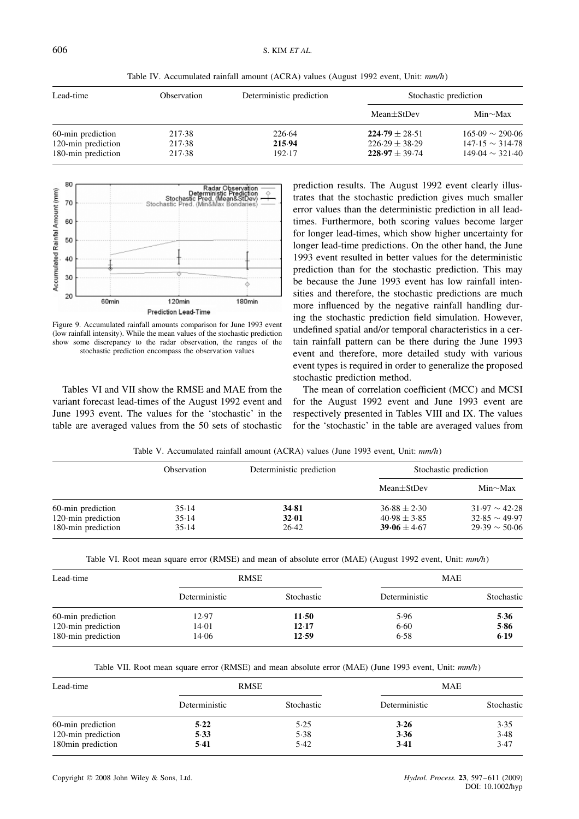Table IV. Accumulated rainfall amount (ACRA) values (August 1992 event, Unit: *mm/h*)

| Lead-time                                | Observation      | Deterministic prediction | Stochastic prediction                    |                                              |
|------------------------------------------|------------------|--------------------------|------------------------------------------|----------------------------------------------|
|                                          |                  |                          | $Mean \pm StDev$                         | $Min \sim Max$                               |
| 60-min prediction                        | 217.38           | 226.64                   | $224.79 \pm 28.51$                       | $165.09 \sim 290.06$                         |
| 120-min prediction<br>180-min prediction | 217.38<br>217.38 | 215.94<br>192.17         | $226.29 \pm 38.29$<br>$228.97 \pm 39.74$ | $147.15 \sim 314.78$<br>$149.04 \sim 321.40$ |



Figure 9. Accumulated rainfall amounts comparison for June 1993 event (low rainfall intensity). While the mean values of the stochastic prediction show some discrepancy to the radar observation, the ranges of the stochastic prediction encompass the observation values

Tables VI and VII show the RMSE and MAE from the variant forecast lead-times of the August 1992 event and June 1993 event. The values for the 'stochastic' in the table are averaged values from the 50 sets of stochastic prediction results. The August 1992 event clearly illustrates that the stochastic prediction gives much smaller error values than the deterministic prediction in all leadtimes. Furthermore, both scoring values become larger for longer lead-times, which show higher uncertainty for longer lead-time predictions. On the other hand, the June 1993 event resulted in better values for the deterministic prediction than for the stochastic prediction. This may be because the June 1993 event has low rainfall intensities and therefore, the stochastic predictions are much more influenced by the negative rainfall handling during the stochastic prediction field simulation. However, undefined spatial and/or temporal characteristics in a certain rainfall pattern can be there during the June 1993 event and therefore, more detailed study with various event types is required in order to generalize the proposed stochastic prediction method.

The mean of correlation coefficient (MCC) and MCSI for the August 1992 event and June 1993 event are respectively presented in Tables VIII and IX. The values for the 'stochastic' in the table are averaged values from

Table V. Accumulated rainfall amount (ACRA) values (June 1993 event, Unit: *mm/h*)

|                    | Observation | Deterministic prediction |                  | Stochastic prediction |
|--------------------|-------------|--------------------------|------------------|-----------------------|
|                    |             |                          | $Mean \pm StDev$ | $Min \sim Max$        |
| 60-min prediction  | 35.14       | 34.81                    | $36.88 \pm 2.30$ | $31.97 \sim 42.28$    |
| 120-min prediction | 35.14       | 32.01                    | $40.98 \pm 3.85$ | $32.85 \sim 49.97$    |
| 180-min prediction | 35.14       | 26.42                    | 39.06 $\pm$ 4.67 | $29.39 \sim 50.06$    |

| Table VI. Root mean square error (RMSE) and mean of absolute error (MAE) (August 1992 event, Unit: mm/h) |  |  |  |  |
|----------------------------------------------------------------------------------------------------------|--|--|--|--|
|----------------------------------------------------------------------------------------------------------|--|--|--|--|

| Lead-time          | <b>RMSE</b>   |            | MAE           |            |
|--------------------|---------------|------------|---------------|------------|
|                    | Deterministic | Stochastic | Deterministic | Stochastic |
| 60-min prediction  | 12.97         | $11-50$    | 5.96          | 5.36       |
| 120-min prediction | 14.01         | 12.17      | 6.60          | 5.86       |
| 180-min prediction | 14.06         | 12.59      | 6.58          | 6.19       |

Table VII. Root mean square error (RMSE) and mean absolute error (MAE) (June 1993 event, Unit: *mm/h*)

| Lead-time          | <b>RMSE</b>   |            | MAE           |            |
|--------------------|---------------|------------|---------------|------------|
|                    | Deterministic | Stochastic | Deterministic | Stochastic |
| 60-min prediction  | 5.22          | 5.25       | 3.26          | 3.35       |
| 120-min prediction | 5.33          | 5.38       | 3.36          | 3.48       |
| 180min prediction  | 5.41          | 5.42       | 3.41          | 3.47       |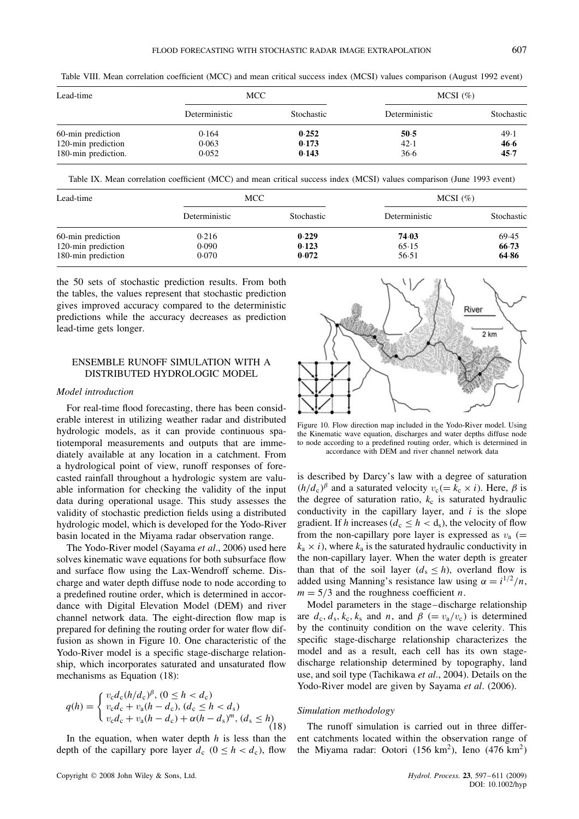| Lead-time           | <b>MCC</b>    |            | $MCSI$ (%)    |            |
|---------------------|---------------|------------|---------------|------------|
|                     | Deterministic | Stochastic | Deterministic | Stochastic |
| 60-min prediction   | 0.164         | 0.252      | 50.5          | 49.1       |
| 120-min prediction  | 0.063         | 0.173      | 42.1          | 46.6       |
| 180-min prediction. | 0.052         | 0.143      | 36.6          | 45.7       |

Table VIII. Mean correlation coefficient (MCC) and mean critical success index (MCSI) values comparison (August 1992 event)

Table IX. Mean correlation coefficient (MCC) and mean critical success index (MCSI) values comparison (June 1993 event)

| Lead-time          | <b>MCC</b>    |            | $MCSI$ (%)    |            |
|--------------------|---------------|------------|---------------|------------|
|                    | Deterministic | Stochastic | Deterministic | Stochastic |
| 60-min prediction  | 0.216         | 0.229      | 74.03         | 69.45      |
| 120-min prediction | 0.090         | 0.123      | 65.15         | 66.73      |
| 180-min prediction | 0.070         | 0.072      | 56.51         | 64.86      |

the 50 sets of stochastic prediction results. From both the tables, the values represent that stochastic prediction gives improved accuracy compared to the deterministic predictions while the accuracy decreases as prediction lead-time gets longer.

## ENSEMBLE RUNOFF SIMULATION WITH A DISTRIBUTED HYDROLOGIC MODEL

## *Model introduction*

For real-time flood forecasting, there has been considerable interest in utilizing weather radar and distributed hydrologic models, as it can provide continuous spatiotemporal measurements and outputs that are immediately available at any location in a catchment. From a hydrological point of view, runoff responses of forecasted rainfall throughout a hydrologic system are valuable information for checking the validity of the input data during operational usage. This study assesses the validity of stochastic prediction fields using a distributed hydrologic model, which is developed for the Yodo-River basin located in the Miyama radar observation range.

The Yodo-River model (Sayama *et al*., 2006) used here solves kinematic wave equations for both subsurface flow and surface flow using the Lax-Wendroff scheme. Discharge and water depth diffuse node to node according to a predefined routine order, which is determined in accordance with Digital Elevation Model (DEM) and river channel network data. The eight-direction flow map is prepared for defining the routing order for water flow diffusion as shown in Figure 10. One characteristic of the Yodo-River model is a specific stage-discharge relationship, which incorporates saturated and unsaturated flow mechanisms as Equation (18):

$$
q(h) = \begin{cases} v_{\rm c}d_{\rm c}(h/d_{\rm c})^{\beta}, (0 \le h < d_{\rm c}) \\ v_{\rm c}d_{\rm c} + v_{\rm a}(h - d_{\rm c}), (d_{\rm c} \le h < d_{\rm s}) \\ v_{\rm c}d_{\rm c} + v_{\rm a}(h - d_{\rm c}) + \alpha(h - d_{\rm s})^{m}, (d_{\rm s} \le h) \end{cases}
$$
(18)

In the equation, when water depth  $h$  is less than the depth of the capillary pore layer  $d_c$  ( $0 \leq h < d_c$ ), flow



Figure 10. Flow direction map included in the Yodo-River model. Using the Kinematic wave equation, discharges and water depths diffuse node to node according to a predefined routing order, which is determined in accordance with DEM and river channel network data

is described by Darcy's law with a degree of saturation  $(h/d_c)^\beta$  and a saturated velocity  $v_c (= k_c \times i)$ . Here,  $\beta$  is the degree of saturation ratio,  $k_c$  is saturated hydraulic conductivity in the capillary layer, and  $i$  is the slope gradient. If h increases ( $d_c \leq h < d_s$ ), the velocity of flow from the non-capillary pore layer is expressed as  $v_a$  (=  $k_a \times i$ ), where  $k_a$  is the saturated hydraulic conductivity in the non-capillary layer. When the water depth is greater than that of the soil layer  $(d_s \leq h)$ , overland flow is added using Manning's resistance law using  $\alpha = i^{1/2}/n$ ,  $m = 5/3$  and the roughness coefficient n.

Model parameters in the stage–discharge relationship are  $d_c, d_s, k_c, k_s$  and n, and  $\beta$  (=  $v_a/v_c$ ) is determined by the continuity condition on the wave celerity. This specific stage-discharge relationship characterizes the model and as a result, each cell has its own stagedischarge relationship determined by topography, land use, and soil type (Tachikawa *et al*., 2004). Details on the Yodo-River model are given by Sayama et al. (2006).

## *Simulation methodology*

The runoff simulation is carried out in three different catchments located within the observation range of the Miyama radar: Ootori (156 km<sup>2</sup>), Ieno (476 km<sup>2</sup>)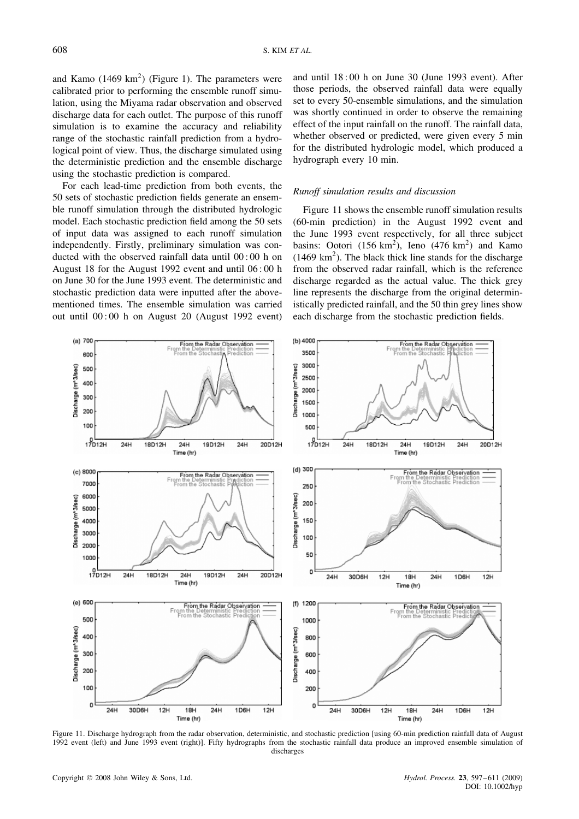and Kamo  $(1469 \text{ km}^2)$  (Figure 1). The parameters were calibrated prior to performing the ensemble runoff simulation, using the Miyama radar observation and observed discharge data for each outlet. The purpose of this runoff simulation is to examine the accuracy and reliability range of the stochastic rainfall prediction from a hydrological point of view. Thus, the discharge simulated using the deterministic prediction and the ensemble discharge using the stochastic prediction is compared.

For each lead-time prediction from both events, the 50 sets of stochastic prediction fields generate an ensemble runoff simulation through the distributed hydrologic model. Each stochastic prediction field among the 50 sets of input data was assigned to each runoff simulation independently. Firstly, preliminary simulation was conducted with the observed rainfall data until 00 : 00 h on August 18 for the August 1992 event and until 06 : 00 h on June 30 for the June 1993 event. The deterministic and stochastic prediction data were inputted after the abovementioned times. The ensemble simulation was carried out until 00 : 00 h on August 20 (August 1992 event)

and until 18 : 00 h on June 30 (June 1993 event). After those periods, the observed rainfall data were equally set to every 50-ensemble simulations, and the simulation was shortly continued in order to observe the remaining effect of the input rainfall on the runoff. The rainfall data, whether observed or predicted, were given every 5 min for the distributed hydrologic model, which produced a hydrograph every 10 min.

## *Runoff simulation results and discussion*

Figure 11 shows the ensemble runoff simulation results (60-min prediction) in the August 1992 event and the June 1993 event respectively, for all three subject basins: Ootori  $(156 \text{ km}^2)$ , Ieno  $(476 \text{ km}^2)$  and Kamo  $(1469 \text{ km}^2)$ . The black thick line stands for the discharge from the observed radar rainfall, which is the reference discharge regarded as the actual value. The thick grey line represents the discharge from the original deterministically predicted rainfall, and the 50 thin grey lines show each discharge from the stochastic prediction fields.



Figure 11. Discharge hydrograph from the radar observation, deterministic, and stochastic prediction [using 60-min prediction rainfall data of August 1992 event (left) and June 1993 event (right)]. Fifty hydrographs from the stochastic rainfall data produce an improved ensemble simulation of discharges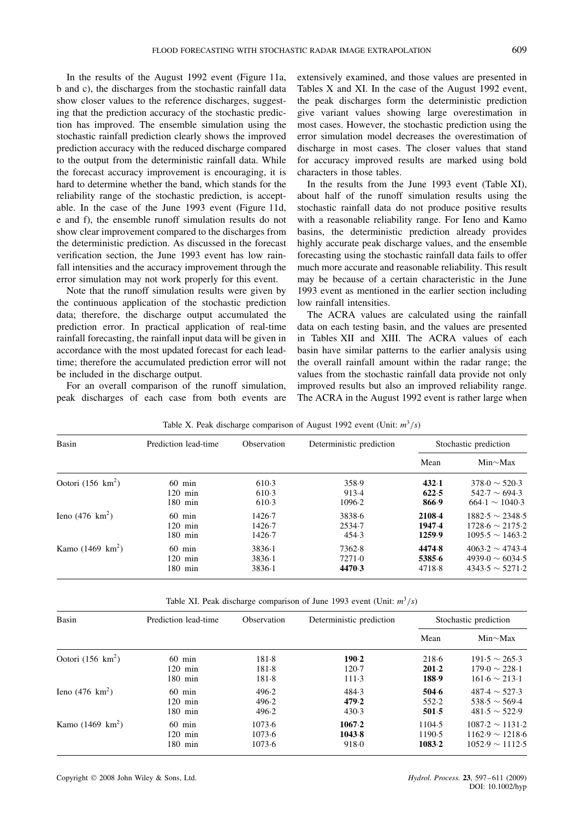In the results of the August 1992 event (Figure 11a, b and c), the discharges from the stochastic rainfall data show closer values to the reference discharges, suggesting that the prediction accuracy of the stochastic prediction has improved. The ensemble simulation using the stochastic rainfall prediction clearly shows the improved prediction accuracy with the reduced discharge compared to the output from the deterministic rainfall data. While the forecast accuracy improvement is encouraging, it is hard to determine whether the band, which stands for the reliability range of the stochastic prediction, is acceptable. In the case of the June 1993 event (Figure 11d, e and f), the ensemble runoff simulation results do not show clear improvement compared to the discharges from the deterministic prediction. As discussed in the forecast verification section, the June 1993 event has low rainfall intensities and the accuracy improvement through the error simulation may not work properly for this event.

Note that the runoff simulation results were given by the continuous application of the stochastic prediction data; therefore, the discharge output accumulated the prediction error. In practical application of real-time rainfall forecasting, the rainfall input data will be given in accordance with the most updated forecast for each leadtime; therefore the accumulated prediction error will not be included in the discharge output.

For an overall comparison of the runoff simulation, peak discharges of each case from both events are extensively examined, and those values are presented in Tables X and XI. In the case of the August 1992 event, the peak discharges form the deterministic prediction give variant values showing large overestimation in most cases. However, the stochastic prediction using the error simulation model decreases the overestimation of discharge in most cases. The closer values that stand for accuracy improved results are marked using bold characters in those tables.

In the results from the June 1993 event (Table XI), about half of the runoff simulation results using the stochastic rainfall data do not produce positive results with a reasonable reliability range. For Ieno and Kamo basins, the deterministic prediction already provides highly accurate peak discharge values, and the ensemble forecasting using the stochastic rainfall data fails to offer much more accurate and reasonable reliability. This result may be because of a certain characteristic in the June 1993 event as mentioned in the earlier section including low rainfall intensities.

The ACRA values are calculated using the rainfall data on each testing basin, and the values are presented in Tables XII and XIII. The ACRA values of each basin have similar patterns to the earlier analysis using the overall rainfall amount within the radar range; the values from the stochastic rainfall data provide not only improved results but also an improved reliability range. The ACRA in the August 1992 event is rather large when

| Basin                       | Prediction lead-time | Observation | Deterministic prediction | Stochastic prediction |                      |
|-----------------------------|----------------------|-------------|--------------------------|-----------------------|----------------------|
|                             |                      |             |                          | Mean                  | $Min \sim Max$       |
| Ootori $(156 \text{ km}^2)$ | $60$ min             | $610-3$     | 358.9                    | 432.1                 | $378.0 \sim 520.3$   |
|                             | $120$ min            | $610-3$     | 913.4                    | 622.5                 | $542.7 \sim 694.3$   |
|                             | $180$ min            | 610.3       | 1096.2                   | 866.9                 | $664.1 \sim 1040.3$  |
| Ieno $(476 \text{ km}^2)$   | $60$ min             | 1426.7      | 3838.6                   | 2108.4                | $1882.5 \sim 2348.5$ |
|                             | $120$ min            | 1426.7      | 2534.7                   | 1947.4                | $1728.6 \sim 2175.2$ |
|                             | 180 min              | 1426.7      | 454.3                    | 1259.9                | $1095.5 \sim 1463.2$ |
| Kamo $(1469 \text{ km}^2)$  | $60$ min             | $3836-1$    | 7362.8                   | 4474.8                | $4063.2 \sim 4743.4$ |
|                             | $120$ min            | $3836-1$    | 7271.0                   | 5385.6                | $4939.0 \sim 6034.5$ |
|                             | $180$ min            | $3836-1$    | 4470.3                   | 4718.8                | $4343.5 \sim 5271.2$ |
|                             |                      |             |                          |                       |                      |

Table X. Peak discharge comparison of August 1992 event (Unit:  $m^3/s$ )

Table XI. Peak discharge comparison of June 1993 event (Unit:  $m^3/s$ )

| Basin                       | Prediction lead-time | Observation | Deterministic prediction |        | Stochastic prediction |  |
|-----------------------------|----------------------|-------------|--------------------------|--------|-----------------------|--|
|                             |                      |             |                          | Mean   | $Min \sim Max$        |  |
| Ootori $(156 \text{ km}^2)$ | $60$ min             | 181.8       | 190.2                    | 218.6  | $191.5 \sim 265.3$    |  |
|                             | $120$ min            | 181.8       | $120-7$                  | 201.2  | $179.0 \sim 228.1$    |  |
|                             | $180$ min            | 181.8       | 111.3                    | 188.9  | $161.6 \sim 213.1$    |  |
| Ieno $(476 \text{ km}^2)$   | $60$ min             | 496.2       | 484.3                    | 504.6  | $487.4 \sim 527.3$    |  |
|                             | $120$ min            | 496.2       | 479.2                    | 552.2  | $538.5 \sim 569.4$    |  |
|                             | $180$ min            | 496.2       | 430.3                    | 501.5  | $481.5 \sim 522.9$    |  |
| Kamo $(1469 \text{ km}^2)$  | $60 \text{ min}$     | 1073.6      | 1067.2                   | 1104.5 | $1087.2 \sim 1131.2$  |  |
|                             | $120$ min            | 1073.6      | 1043.8                   | 1190.5 | $1162.9 \sim 1218.6$  |  |
|                             | $180$ min            | 1073.6      | 918.0                    | 1083.2 | $1052.9 \sim 1112.5$  |  |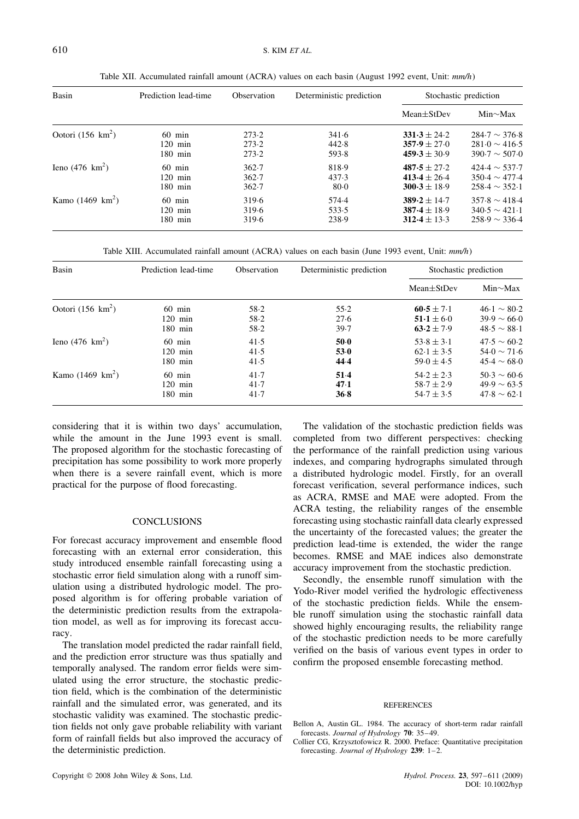Table XII. Accumulated rainfall amount (ACRA) values on each basin (August 1992 event, Unit: *mm/h*)

| Basin                       | Prediction lead-time | Observation | Deterministic prediction | Stochastic prediction |                    |
|-----------------------------|----------------------|-------------|--------------------------|-----------------------|--------------------|
|                             |                      |             |                          | $Mean \pm StDev$      | $Min \sim Max$     |
| Ootori $(156 \text{ km}^2)$ | $60$ min             | 273.2       | 341.6                    | $331.3 \pm 24.2$      | $284.7 \sim 376.8$ |
|                             | $120$ min            | 273.2       | 442.8                    | $357.9 \pm 27.0$      | $281.0 \sim 416.5$ |
|                             | $180$ min            | 273.2       | 593.8                    | $459.3 \pm 30.9$      | $390.7 \sim 507.0$ |
| Ieno $(476 \text{ km}^2)$   | $60$ min             | 362.7       | 818.9                    | $487.5 \pm 27.2$      | $424.4 \sim 537.7$ |
|                             | $120$ min            | 362.7       | 437.3                    | $413.4 \pm 26.4$      | $350.4 \sim 477.4$ |
|                             | $180$ min            | 362.7       | 80.0                     | 300.3 $\pm$ 18.9      | $258.4 \sim 352.1$ |
| Kamo $(1469 \text{ km}^2)$  | $60$ min             | 319.6       | 574.4                    | $389.2 \pm 14.7$      | $357.8 \sim 418.4$ |
|                             | $120$ min            | 319.6       | 533.5                    | $387.4 \pm 18.9$      | $340.5 \sim 421.1$ |
|                             | $180$ min            | 319.6       | 238.9                    | $312.4 \pm 13.3$      | $258.9 \sim 336.4$ |

Table XIII. Accumulated rainfall amount (ACRA) values on each basin (June 1993 event, Unit: *mm/h*)

| Basin                       | Prediction lead-time | Observation | Deterministic prediction | Stochastic prediction |                  |
|-----------------------------|----------------------|-------------|--------------------------|-----------------------|------------------|
|                             |                      |             |                          | $Mean \pm StDev$      | $Min \sim Max$   |
| Ootori $(156 \text{ km}^2)$ | $60$ min             | 58.2        | 55.2                     | $60.5 \pm 7.1$        | $46.1 \sim 80.2$ |
|                             | $120$ min            | 58.2        | 27.6                     | $51.1 \pm 6.0$        | $39.9 \sim 66.0$ |
|                             | $180$ min            | 58.2        | 39.7                     | $63.2 \pm 7.9$        | $48.5 \sim 88.1$ |
| Ieno $(476 \text{ km}^2)$   | $60$ min             | 41.5        | 50.0                     | $53.8 \pm 3.1$        | $47.5 \sim 60.2$ |
|                             | $120$ min            | 41.5        | 53.0                     | $62.1 \pm 3.5$        | $54.0 \sim 71.6$ |
|                             | $180$ min            | 41.5        | 44.4                     | $59.0 \pm 4.5$        | $45.4 \sim 68.0$ |
| Kamo $(1469 \text{ km}^2)$  | $60$ min             | 41.7        | 51.4                     | $54.2 \pm 2.3$        | $50.3 \sim 60.6$ |
|                             | $120$ min            | 41.7        | 47.1                     | $58.7 \pm 2.9$        | $49.9 \sim 63.5$ |
|                             | 180 min              | 41.7        | 36.8                     | $54.7 \pm 3.5$        | $47.8 \sim 62.1$ |

considering that it is within two days' accumulation, while the amount in the June 1993 event is small. The proposed algorithm for the stochastic forecasting of precipitation has some possibility to work more properly when there is a severe rainfall event, which is more practical for the purpose of flood forecasting.

#### CONCLUSIONS

For forecast accuracy improvement and ensemble flood forecasting with an external error consideration, this study introduced ensemble rainfall forecasting using a stochastic error field simulation along with a runoff simulation using a distributed hydrologic model. The proposed algorithm is for offering probable variation of the deterministic prediction results from the extrapolation model, as well as for improving its forecast accuracy.

The translation model predicted the radar rainfall field, and the prediction error structure was thus spatially and temporally analysed. The random error fields were simulated using the error structure, the stochastic prediction field, which is the combination of the deterministic rainfall and the simulated error, was generated, and its stochastic validity was examined. The stochastic prediction fields not only gave probable reliability with variant form of rainfall fields but also improved the accuracy of the deterministic prediction.

The validation of the stochastic prediction fields was completed from two different perspectives: checking the performance of the rainfall prediction using various indexes, and comparing hydrographs simulated through a distributed hydrologic model. Firstly, for an overall forecast verification, several performance indices, such as ACRA, RMSE and MAE were adopted. From the ACRA testing, the reliability ranges of the ensemble forecasting using stochastic rainfall data clearly expressed the uncertainty of the forecasted values; the greater the prediction lead-time is extended, the wider the range becomes. RMSE and MAE indices also demonstrate accuracy improvement from the stochastic prediction.

Secondly, the ensemble runoff simulation with the Yodo-River model verified the hydrologic effectiveness of the stochastic prediction fields. While the ensemble runoff simulation using the stochastic rainfall data showed highly encouraging results, the reliability range of the stochastic prediction needs to be more carefully verified on the basis of various event types in order to confirm the proposed ensemble forecasting method.

#### **REFERENCES**

Bellon A, Austin GL. 1984. The accuracy of short-term radar rainfall forecasts. *Journal of Hydrology* **70**: 35–49.

Collier CG, Krzysztofowicz R. 2000. Preface: Quantitative precipitation forecasting. *Journal of Hydrology* **239**: 1–2.